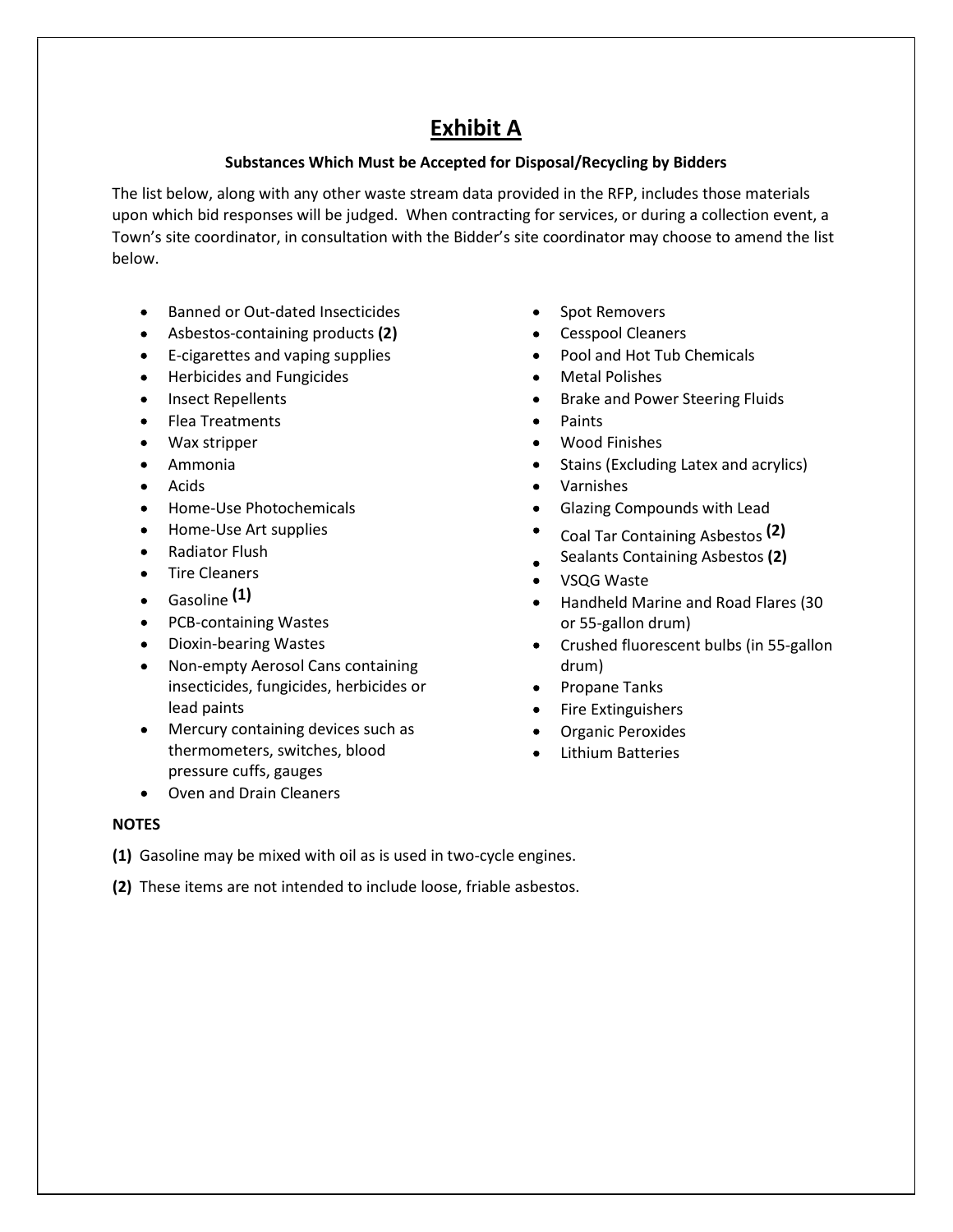# Exhibit A

## Substances Which Must be Accepted for Disposal/Recycling by Bidders

The list below, along with any other waste stream data provided in the RFP, includes those materials upon which bid responses will be judged. When contracting for services, or during a collection event, a Town's site coordinator, in consultation with the Bidder's site coordinator may choose to amend the list below.

- Banned or Out-dated Insecticides
- Asbestos-containing products (2)
- E-cigarettes and vaping supplies
- Herbicides and Fungicides
- Insect Repellents
- Flea Treatments
- Wax stripper
- Ammonia
- Acids
- Home-Use Photochemicals
- Home-Use Art supplies
- Radiator Flush
- Tire Cleaners
- $\bullet$  Gasoline  $(1)$
- PCB-containing Wastes
- Dioxin-bearing Wastes
- Non-empty Aerosol Cans containing  $\bullet$ insecticides, fungicides, herbicides or lead paints
- Mercury containing devices such as thermometers, switches, blood pressure cuffs, gauges
- Oven and Drain Cleaners
- Spot Removers
- Cesspool Cleaners
- Pool and Hot Tub Chemicals
- Metal Polishes
- Brake and Power Steering Fluids  $\bullet$
- Paints
- Wood Finishes
- Stains (Excluding Latex and acrylics)
- Varnishes
- Glazing Compounds with Lead
- Coal Tar Containing Asbestos (2)
- Sealants Containing Asbestos (2)
- VSQG Waste
- Handheld Marine and Road Flares (30 or 55-gallon drum)
- Crushed fluorescent bulbs (in 55-gallon drum)
- Propane Tanks
- $\bullet$ Fire Extinguishers
- Organic Peroxides  $\bullet$
- Lithium Batteries

### **NOTES**

(1) Gasoline may be mixed with oil as is used in two-cycle engines.

(2) These items are not intended to include loose, friable asbestos.